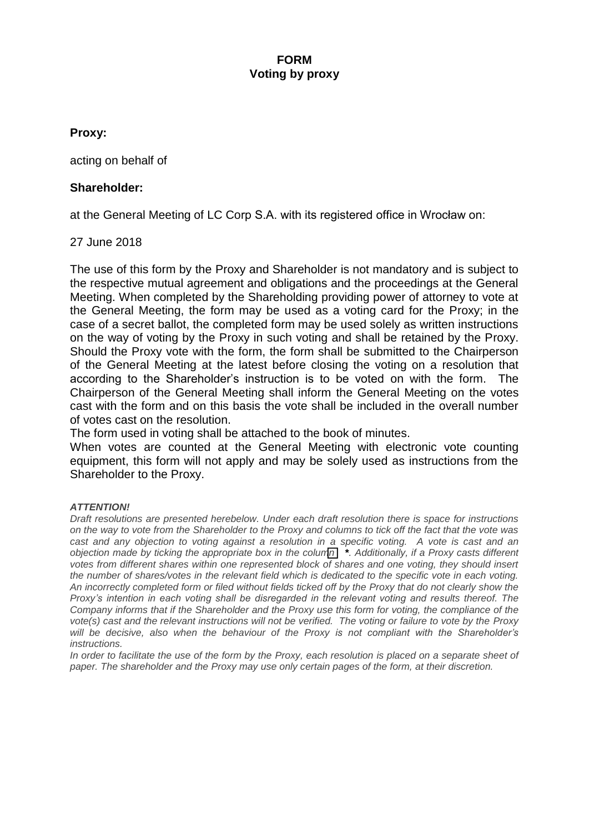# **FORM Voting by proxy**

# **Proxy:**

acting on behalf of

# **Shareholder:**

at the General Meeting of LC Corp S.A. with its registered office in Wrocław on:

# 27 June 2018

The use of this form by the Proxy and Shareholder is not mandatory and is subject to the respective mutual agreement and obligations and the proceedings at the General Meeting. When completed by the Shareholding providing power of attorney to vote at the General Meeting, the form may be used as a voting card for the Proxy; in the case of a secret ballot, the completed form may be used solely as written instructions on the way of voting by the Proxy in such voting and shall be retained by the Proxy. Should the Proxy vote with the form, the form shall be submitted to the Chairperson of the General Meeting at the latest before closing the voting on a resolution that according to the Shareholder's instruction is to be voted on with the form. The Chairperson of the General Meeting shall inform the General Meeting on the votes cast with the form and on this basis the vote shall be included in the overall number of votes cast on the resolution.

The form used in voting shall be attached to the book of minutes.

When votes are counted at the General Meeting with electronic vote counting equipment, this form will not apply and may be solely used as instructions from the Shareholder to the Proxy.

# *ATTENTION!*

*Draft resolutions are presented herebelow. Under each draft resolution there is space for instructions on the way to vote from the Shareholder to the Proxy and columns to tick off the fact that the vote was cast and any objection to voting against a resolution in a specific voting. A vote is cast and an objection made by ticking the appropriate box in the column \*. Additionally, if a Proxy casts different votes from different shares within one represented block of shares and one voting, they should insert the number of shares/votes in the relevant field which is dedicated to the specific vote in each voting. An incorrectly completed form or filed without fields ticked off by the Proxy that do not clearly show the Proxy's intention in each voting shall be disregarded in the relevant voting and results thereof. The Company informs that if the Shareholder and the Proxy use this form for voting, the compliance of the vote(s) cast and the relevant instructions will not be verified. The voting or failure to vote by the Proxy will be decisive, also when the behaviour of the Proxy is not compliant with the Shareholder's instructions.* 

*In order to facilitate the use of the form by the Proxy, each resolution is placed on a separate sheet of paper. The shareholder and the Proxy may use only certain pages of the form, at their discretion.*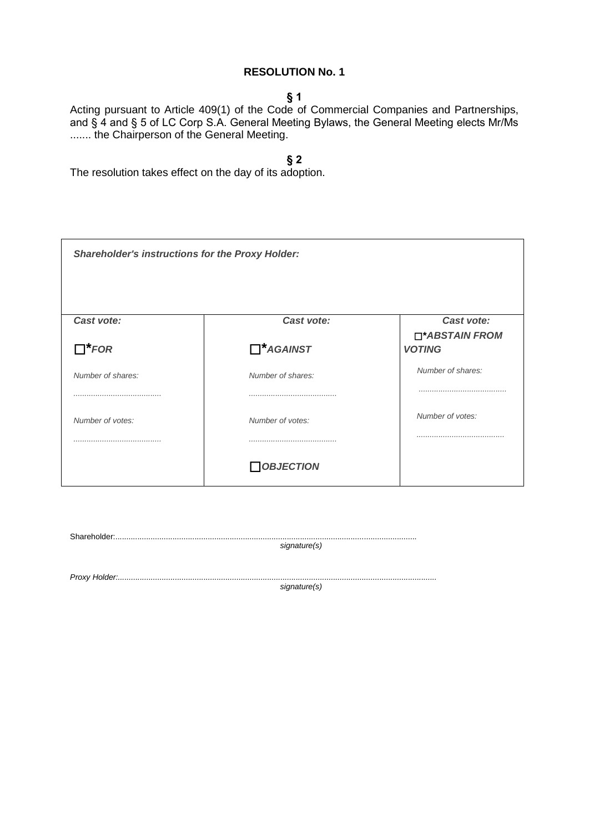# **§ 1**

Acting pursuant to Article 409(1) of the Code of Commercial Companies and Partnerships, and § 4 and § 5 of LC Corp S.A. General Meeting Bylaws, the General Meeting elects Mr/Ms ....... the Chairperson of the General Meeting.

**§ 2**

The resolution takes effect on the day of its adoption.

| <b>Shareholder's instructions for the Proxy Holder:</b> |                   |                              |
|---------------------------------------------------------|-------------------|------------------------------|
| Cast vote:                                              | Cast vote:        | Cast vote:<br>□*ABSTAIN FROM |
| $\Box^*$ FOR                                            | $\Box^*$ AGAINST  | <b>VOTING</b>                |
| Number of shares:                                       | Number of shares: | Number of shares:            |
|                                                         |                   |                              |
| Number of votes:                                        | Number of votes:  | Number of votes:             |
|                                                         |                   |                              |
|                                                         | $\Box$ OBJECTION  |                              |

Shareholder:......................................................................................................................................... *signature(s)*

*Proxy Holder:.................................................................................................................................................*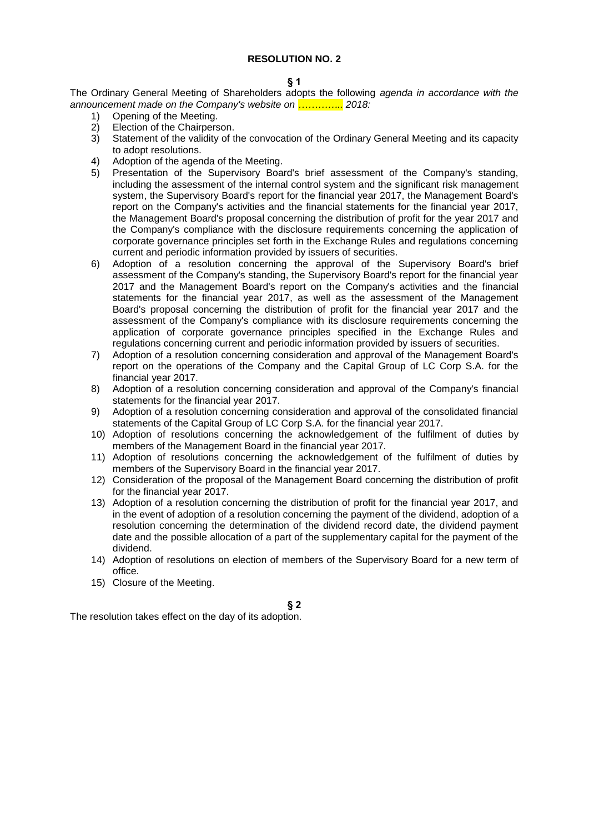### **§ 1**

The Ordinary General Meeting of Shareholders adopts the following *agenda in accordance with the announcement made on the Company's website on ………….. 2018:*

- 1) Opening of the Meeting.<br>2) Election of the Chairners
- Election of the Chairperson.
- 3) Statement of the validity of the convocation of the Ordinary General Meeting and its capacity to adopt resolutions.
- 4) Adoption of the agenda of the Meeting.
- 5) Presentation of the Supervisory Board's brief assessment of the Company's standing, including the assessment of the internal control system and the significant risk management system, the Supervisory Board's report for the financial year 2017, the Management Board's report on the Company's activities and the financial statements for the financial year 2017, the Management Board's proposal concerning the distribution of profit for the year 2017 and the Company's compliance with the disclosure requirements concerning the application of corporate governance principles set forth in the Exchange Rules and regulations concerning current and periodic information provided by issuers of securities.
- 6) Adoption of a resolution concerning the approval of the Supervisory Board's brief assessment of the Company's standing, the Supervisory Board's report for the financial year 2017 and the Management Board's report on the Company's activities and the financial statements for the financial year 2017, as well as the assessment of the Management Board's proposal concerning the distribution of profit for the financial year 2017 and the assessment of the Company's compliance with its disclosure requirements concerning the application of corporate governance principles specified in the Exchange Rules and regulations concerning current and periodic information provided by issuers of securities.
- 7) Adoption of a resolution concerning consideration and approval of the Management Board's report on the operations of the Company and the Capital Group of LC Corp S.A. for the financial year 2017.
- 8) Adoption of a resolution concerning consideration and approval of the Company's financial statements for the financial year 2017.
- 9) Adoption of a resolution concerning consideration and approval of the consolidated financial statements of the Capital Group of LC Corp S.A. for the financial year 2017.
- 10) Adoption of resolutions concerning the acknowledgement of the fulfilment of duties by members of the Management Board in the financial year 2017.
- 11) Adoption of resolutions concerning the acknowledgement of the fulfilment of duties by members of the Supervisory Board in the financial year 2017.
- 12) Consideration of the proposal of the Management Board concerning the distribution of profit for the financial year 2017.
- 13) Adoption of a resolution concerning the distribution of profit for the financial year 2017, and in the event of adoption of a resolution concerning the payment of the dividend, adoption of a resolution concerning the determination of the dividend record date, the dividend payment date and the possible allocation of a part of the supplementary capital for the payment of the dividend.
- 14) Adoption of resolutions on election of members of the Supervisory Board for a new term of office.
- 15) Closure of the Meeting.

### **§ 2**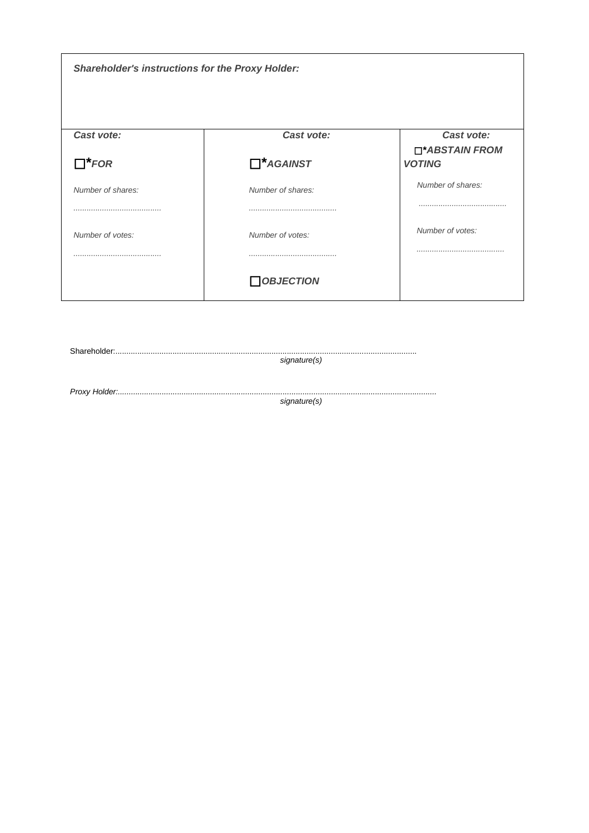| <b>Shareholder's instructions for the Proxy Holder:</b> |                                |                                               |
|---------------------------------------------------------|--------------------------------|-----------------------------------------------|
| Cast vote:<br>$\Box^*$ FOR                              | Cast vote:<br>$\Box^*$ AGAINST | Cast vote:<br>□*ABSTAIN FROM<br><b>VOTING</b> |
| Number of shares:                                       | Number of shares:              | Number of shares:                             |
| Number of votes:                                        | Number of votes:               | Number of votes:                              |
|                                                         | <b>OBJECTION</b>               |                                               |

 $\textbf{Shareholder}.\textcolor{red}{\textbf{\texttt{S}}}\textcolor{red}{\textbf{\small{S}}} \textcolor{red}{\textbf{\small{S}}} \textcolor{red}{\textbf{\small{S}}} \textcolor{red}{\textbf{\small{S}}} \textcolor{red}{\textbf{\small{S}}} \textcolor{red}{\textbf{\small{S}}} \textcolor{red}{\textbf{\small{S}}} \textcolor{red}{\textbf{\small{S}}} \textcolor{red}{\textbf{\small{S}}} \textcolor{red}{\textbf{\small{S}}} \textcolor{red}{\textbf{\small{S}}} \textcolor{red}{\textbf{\small{S}}} \textcolor{red}{\textbf{\small{S}}} \textcolor{red}{\textbf{\small{S}}} \text$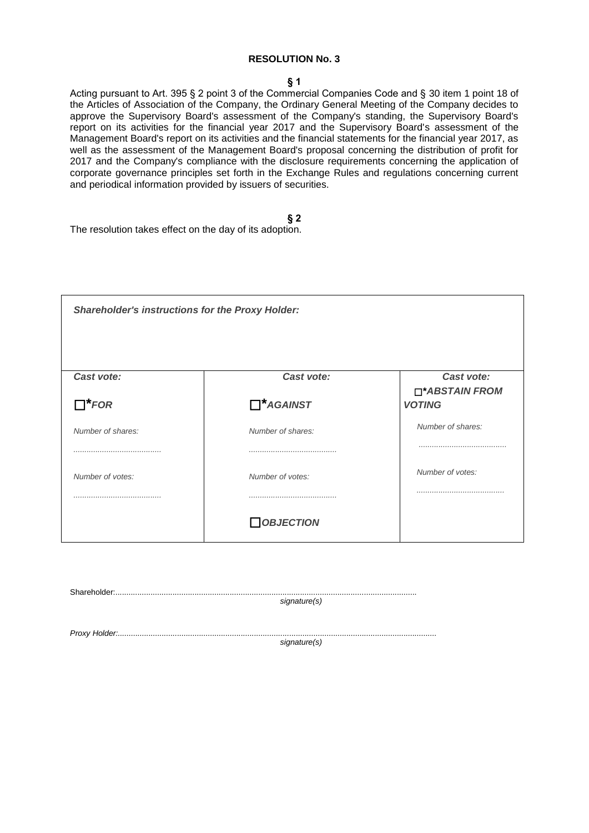### **§ 1**

Acting pursuant to Art. 395 § 2 point 3 of the Commercial Companies Code and § 30 item 1 point 18 of the Articles of Association of the Company, the Ordinary General Meeting of the Company decides to approve the Supervisory Board's assessment of the Company's standing, the Supervisory Board's report on its activities for the financial year 2017 and the Supervisory Board's assessment of the Management Board's report on its activities and the financial statements for the financial year 2017, as well as the assessment of the Management Board's proposal concerning the distribution of profit for 2017 and the Company's compliance with the disclosure requirements concerning the application of corporate governance principles set forth in the Exchange Rules and regulations concerning current and periodical information provided by issuers of securities.

| <b>Shareholder's instructions for the Proxy Holder:</b> |                   |                                 |
|---------------------------------------------------------|-------------------|---------------------------------|
| Cast vote:                                              | Cast vote:        | Cast vote:                      |
| $\Box^*$ FOR                                            | $\prod^*$ AGAINST | □*ABSTAIN FROM<br><b>VOTING</b> |
| Number of shares:                                       | Number of shares: | Number of shares:               |
|                                                         |                   |                                 |
| Number of votes:                                        | Number of votes:  | Number of votes:                |
|                                                         |                   |                                 |
|                                                         | <b>OBJECTION</b>  |                                 |

| $\textbf{Shareholder}:\textcolor{red}{\textbf{.}}\textcolor{blue}{\textbf{.}}\textcolor{blue}{\textbf{.}}\textcolor{blue}{\textbf{.}}\textcolor{blue}{\textbf{.}}\textcolor{blue}{\textbf{.}}\textcolor{blue}{\textbf{.}}\textcolor{blue}{\textbf{.}}\textcolor{blue}{\textbf{.}}\textcolor{blue}{\textbf{.}}\textcolor{blue}{\textbf{.}}\textcolor{blue}{\textbf{.}}\textcolor{blue}{\textbf{.}}\textcolor{blue}{\textbf{.}}\textcolor{blue}{\textbf{.}}\textcolor{blue}{\textbf{.}}\textcolor{blue}{\textbf{.}}\textcolor{blue}{\textbf$ |              |
|--------------------------------------------------------------------------------------------------------------------------------------------------------------------------------------------------------------------------------------------------------------------------------------------------------------------------------------------------------------------------------------------------------------------------------------------------------------------------------------------------------------------------------------------|--------------|
|                                                                                                                                                                                                                                                                                                                                                                                                                                                                                                                                            | signature(s) |
|                                                                                                                                                                                                                                                                                                                                                                                                                                                                                                                                            |              |
|                                                                                                                                                                                                                                                                                                                                                                                                                                                                                                                                            |              |
|                                                                                                                                                                                                                                                                                                                                                                                                                                                                                                                                            |              |
|                                                                                                                                                                                                                                                                                                                                                                                                                                                                                                                                            | signature(s) |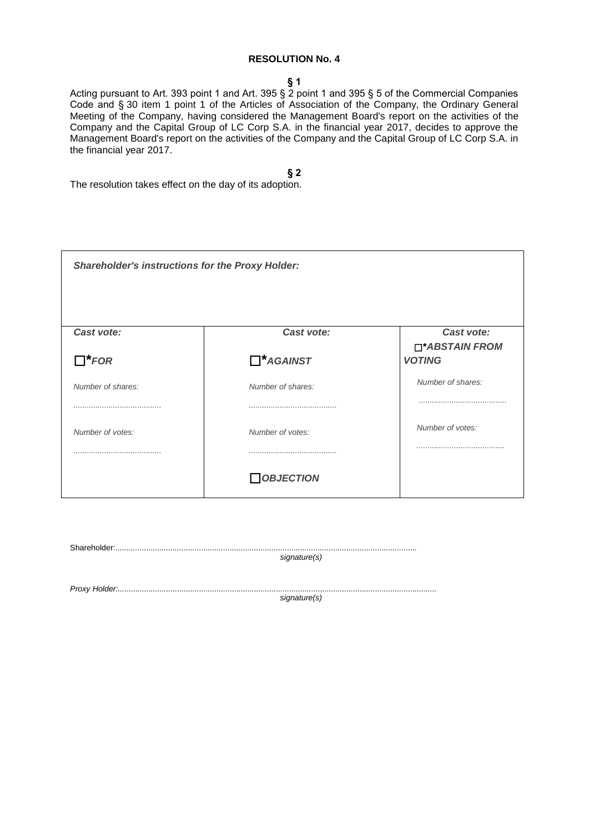#### **§ 1**

Acting pursuant to Art. 393 point 1 and Art. 395 § 2 point 1 and 395 § 5 of the Commercial Companies Code and § 30 item 1 point 1 of the Articles of Association of the Company, the Ordinary General Meeting of the Company, having considered the Management Board's report on the activities of the Company and the Capital Group of LC Corp S.A. in the financial year 2017, decides to approve the Management Board's report on the activities of the Company and the Capital Group of LC Corp S.A. in the financial year 2017.

**§ 2**

The resolution takes effect on the day of its adoption.

| <b>Shareholder's instructions for the Proxy Holder:</b> |                   |                                 |
|---------------------------------------------------------|-------------------|---------------------------------|
| Cast vote:                                              | Cast vote:        | Cast vote:                      |
| $\Box^*$ FOR                                            | $\Box^*$ AGAINST  | □*ABSTAIN FROM<br><b>VOTING</b> |
| Number of shares:                                       | Number of shares: | Number of shares:               |
|                                                         |                   |                                 |
| Number of votes:                                        | Number of votes:  | Number of votes:                |
|                                                         |                   |                                 |
|                                                         | $\Box$ OBJECTION  |                                 |

Shareholder:......................................................................................................................................... *signature(s)*

*Proxy Holder:.................................................................................................................................................*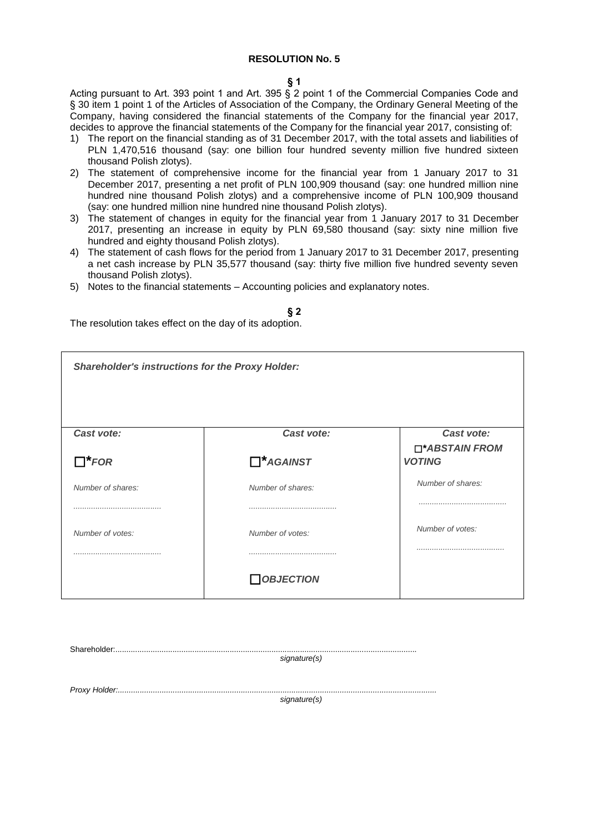#### **§ 1**

Acting pursuant to Art. 393 point 1 and Art. 395 § 2 point 1 of the Commercial Companies Code and § 30 item 1 point 1 of the Articles of Association of the Company, the Ordinary General Meeting of the Company, having considered the financial statements of the Company for the financial year 2017, decides to approve the financial statements of the Company for the financial year 2017, consisting of:

- 1) The report on the financial standing as of 31 December 2017, with the total assets and liabilities of PLN 1,470,516 thousand (say: one billion four hundred seventy million five hundred sixteen thousand Polish zlotys).
- 2) The statement of comprehensive income for the financial year from 1 January 2017 to 31 December 2017, presenting a net profit of PLN 100,909 thousand (say: one hundred million nine hundred nine thousand Polish zlotys) and a comprehensive income of PLN 100,909 thousand (say: one hundred million nine hundred nine thousand Polish zlotys).
- 3) The statement of changes in equity for the financial year from 1 January 2017 to 31 December 2017, presenting an increase in equity by PLN 69,580 thousand (say: sixty nine million five hundred and eighty thousand Polish zlotys).
- 4) The statement of cash flows for the period from 1 January 2017 to 31 December 2017, presenting a net cash increase by PLN 35,577 thousand (say: thirty five million five hundred seventy seven thousand Polish zlotys).
- 5) Notes to the financial statements Accounting policies and explanatory notes.

# **§ 2**

The resolution takes effect on the day of its adoption.

| <b>Shareholder's instructions for the Proxy Holder:</b> |                   |                              |
|---------------------------------------------------------|-------------------|------------------------------|
| Cast vote:                                              | Cast vote:        | Cast vote:<br>□*ABSTAIN FROM |
| $\Box^*$ FOR                                            | $\Box^*$ AGAINST  | <b>VOTING</b>                |
| Number of shares:                                       | Number of shares: | Number of shares:            |
|                                                         |                   |                              |
| Number of votes:                                        | Number of votes:  | Number of votes:             |
|                                                         |                   |                              |
|                                                         | $\Box$ OBJECTION  |                              |

Shareholder:.........................................................................................................................................

*signature(s)*

*Proxy Holder:.................................................................................................................................................*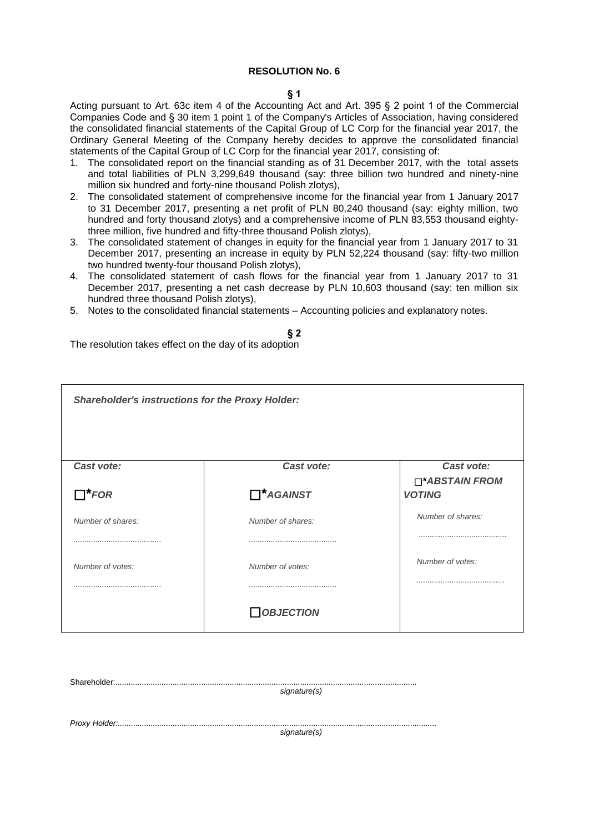#### **§ 1**

Acting pursuant to Art. 63c item 4 of the Accounting Act and Art. 395 § 2 point 1 of the Commercial Companies Code and § 30 item 1 point 1 of the Company's Articles of Association, having considered the consolidated financial statements of the Capital Group of LC Corp for the financial year 2017, the Ordinary General Meeting of the Company hereby decides to approve the consolidated financial statements of the Capital Group of LC Corp for the financial year 2017, consisting of:

- 1. The consolidated report on the financial standing as of 31 December 2017, with the total assets and total liabilities of PLN 3,299,649 thousand (say: three billion two hundred and ninety-nine million six hundred and forty-nine thousand Polish zlotys),
- 2. The consolidated statement of comprehensive income for the financial year from 1 January 2017 to 31 December 2017, presenting a net profit of PLN 80,240 thousand (say: eighty million, two hundred and forty thousand zlotys) and a comprehensive income of PLN 83,553 thousand eightythree million, five hundred and fifty-three thousand Polish zlotys),
- 3. The consolidated statement of changes in equity for the financial year from 1 January 2017 to 31 December 2017, presenting an increase in equity by PLN 52,224 thousand (say: fifty-two million two hundred twenty-four thousand Polish zlotys),
- 4. The consolidated statement of cash flows for the financial year from 1 January 2017 to 31 December 2017, presenting a net cash decrease by PLN 10,603 thousand (say: ten million six hundred three thousand Polish zlotys),
- 5. Notes to the consolidated financial statements Accounting policies and explanatory notes.

# **§ 2** The resolution takes effect on the day of its adoption

| <b>Shareholder's instructions for the Proxy Holder:</b> |                                |                                               |
|---------------------------------------------------------|--------------------------------|-----------------------------------------------|
| Cast vote:<br>$\Box^*$ FOR                              | Cast vote:<br>$\Box^*$ AGAINST | Cast vote:<br>□*ABSTAIN FROM<br><b>VOTING</b> |
| Number of shares:                                       | Number of shares:              | Number of shares:                             |
| Number of votes:                                        | Number of votes:               | Number of votes:                              |
|                                                         | $\Box$ OBJECTION               |                                               |

Shareholder:.........................................................................................................................................

*signature(s)*

*Proxy Holder:.................................................................................................................................................*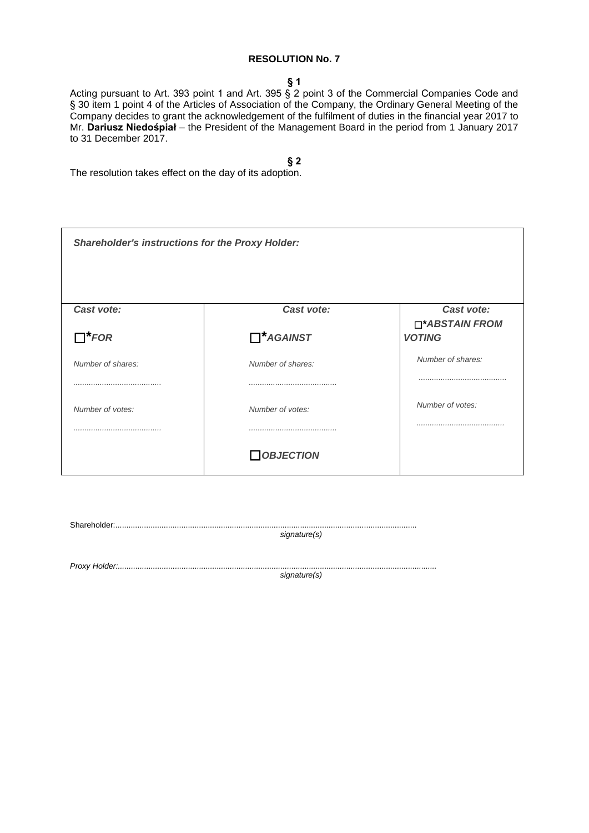#### **§ 1**

Acting pursuant to Art. 393 point 1 and Art. 395 § 2 point 3 of the Commercial Companies Code and § 30 item 1 point 4 of the Articles of Association of the Company, the Ordinary General Meeting of the Company decides to grant the acknowledgement of the fulfilment of duties in the financial year 2017 to Mr. **Dariusz Niedośpiał** – the President of the Management Board in the period from 1 January 2017 to 31 December 2017.

**§ 2**

| <b>Shareholder's instructions for the Proxy Holder:</b> |                   |                                 |
|---------------------------------------------------------|-------------------|---------------------------------|
| Cast vote:                                              | Cast vote:        | Cast vote:                      |
| $\Box^*$ FOR                                            | $\Box^*$ AGAINST  | □*ABSTAIN FROM<br><b>VOTING</b> |
| Number of shares:                                       | Number of shares: | Number of shares:               |
|                                                         |                   |                                 |
| Number of votes:                                        | Number of votes:  | Number of votes:                |
|                                                         |                   |                                 |
|                                                         | $\Box$ OBJECTION  |                                 |

| signature(s) |  |
|--------------|--|
|              |  |
|              |  |
|              |  |
| signature(s) |  |
|              |  |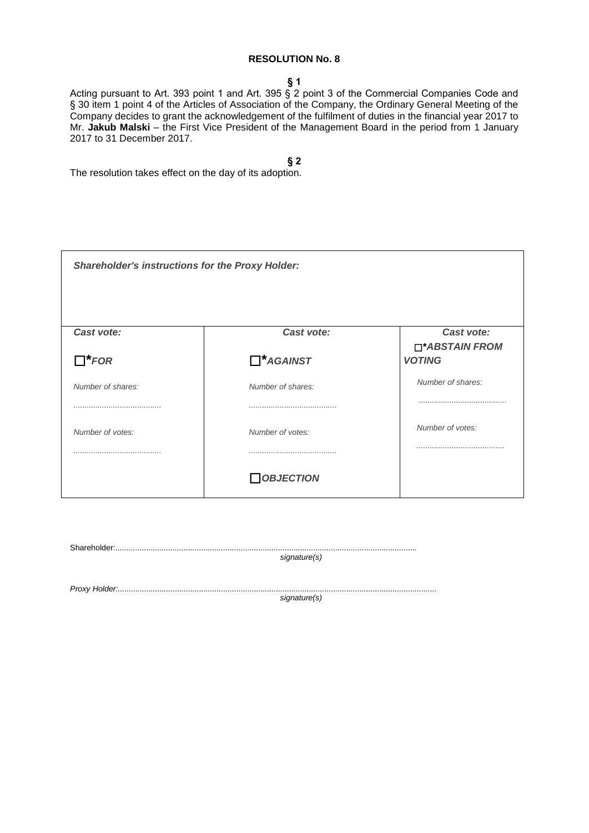#### **§ 1**

Acting pursuant to Art. 393 point 1 and Art. 395 § 2 point 3 of the Commercial Companies Code and § 30 item 1 point 4 of the Articles of Association of the Company, the Ordinary General Meeting of the Company decides to grant the acknowledgement of the fulfilment of duties in the financial year 2017 to Mr. **Jakub Malski** – the First Vice President of the Management Board in the period from 1 January 2017 to 31 December 2017.

**§ 2**

The resolution takes effect on the day of its adoption.

| <b>Shareholder's instructions for the Proxy Holder:</b> |                   |                                 |
|---------------------------------------------------------|-------------------|---------------------------------|
| Cast vote:                                              | Cast vote:        | Cast vote:                      |
| $\Box^*$ FOR                                            | $\Box^*$ AGAINST  | □*ABSTAIN FROM<br><b>VOTING</b> |
| Number of shares:                                       | Number of shares: | Number of shares:               |
|                                                         |                   |                                 |
| Number of votes:                                        | Number of votes:  | Number of votes:                |
|                                                         |                   |                                 |
|                                                         | <b>OBJECTION</b>  |                                 |

Shareholder:......................................................................................................................................... *signature(s)*

*Proxy Holder:.................................................................................................................................................*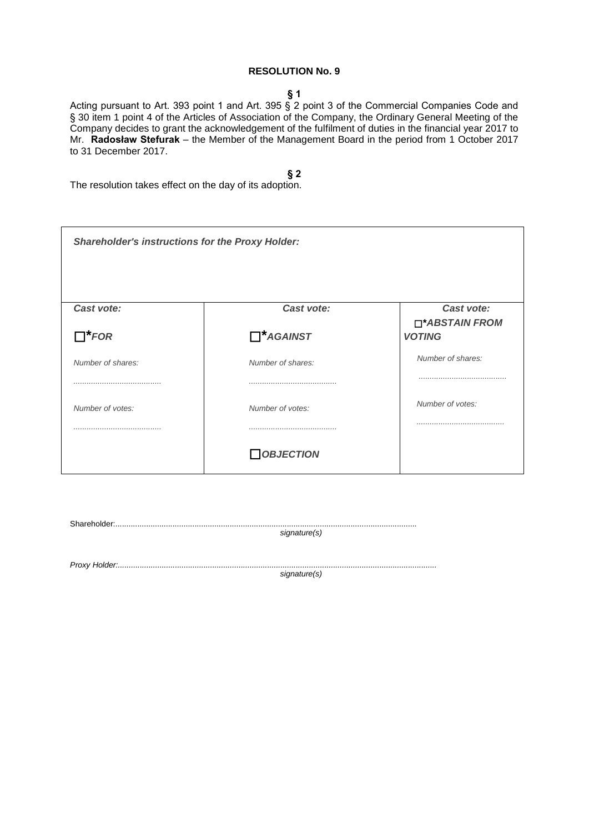### **§ 1**

Acting pursuant to Art. 393 point 1 and Art. 395 § 2 point 3 of the Commercial Companies Code and § 30 item 1 point 4 of the Articles of Association of the Company, the Ordinary General Meeting of the Company decides to grant the acknowledgement of the fulfilment of duties in the financial year 2017 to Mr. **Radosław Stefurak** – the Member of the Management Board in the period from 1 October 2017 to 31 December 2017.

### **§ 2**

| <b>Shareholder's instructions for the Proxy Holder:</b> |                   |                                 |
|---------------------------------------------------------|-------------------|---------------------------------|
| Cast vote:                                              | Cast vote:        | Cast vote:                      |
| $\Box^*$ FOR                                            | $\Box^*$ AGAINST  | □*ABSTAIN FROM<br><b>VOTING</b> |
| Number of shares:                                       | Number of shares: | Number of shares:               |
|                                                         |                   |                                 |
| Number of votes:                                        | Number of votes:  | Number of votes:                |
|                                                         |                   |                                 |
|                                                         | $\Box$ OBJECTION  |                                 |

| signature(s) |
|--------------|
|              |
|              |
|              |
| signature(s) |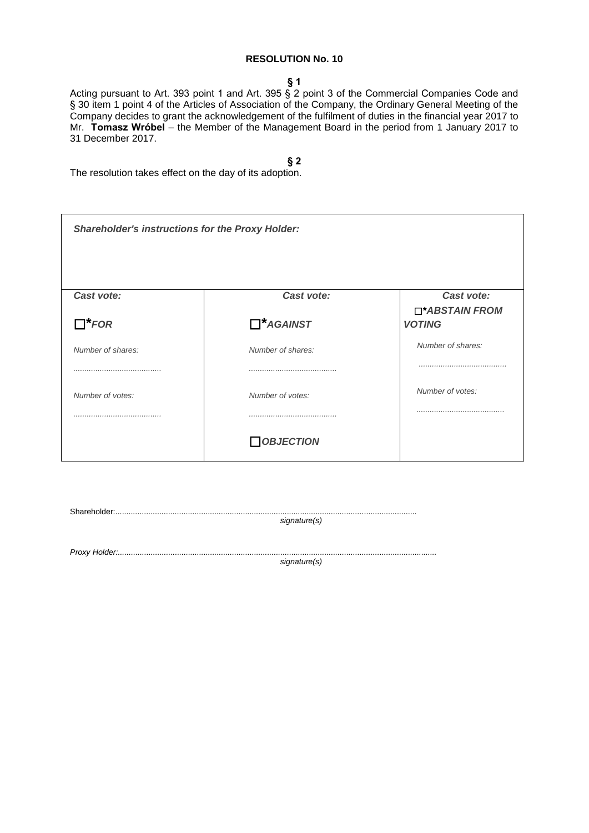#### **§ 1**

Acting pursuant to Art. 393 point 1 and Art. 395 § 2 point 3 of the Commercial Companies Code and § 30 item 1 point 4 of the Articles of Association of the Company, the Ordinary General Meeting of the Company decides to grant the acknowledgement of the fulfilment of duties in the financial year 2017 to Mr. **Tomasz Wróbel** – the Member of the Management Board in the period from 1 January 2017 to 31 December 2017.

**§ 2**

The resolution takes effect on the day of its adoption.

| <b>Shareholder's instructions for the Proxy Holder:</b> |                   |                                 |
|---------------------------------------------------------|-------------------|---------------------------------|
| Cast vote:                                              | Cast vote:        | Cast vote:                      |
| $\Box^*$ FOR                                            | $\Box^*$ AGAINST  | □*ABSTAIN FROM<br><b>VOTING</b> |
| Number of shares:                                       | Number of shares: | Number of shares:               |
|                                                         |                   |                                 |
| Number of votes:                                        | Number of votes:  | Number of votes:                |
|                                                         |                   |                                 |
|                                                         | <b>OBJECTION</b>  |                                 |

*signature(s)*

*Proxy Holder:.................................................................................................................................................*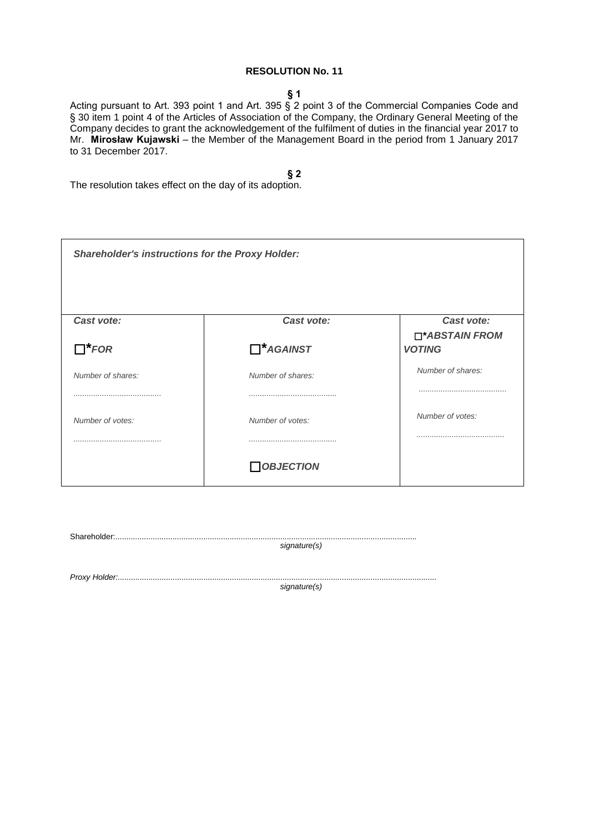### **§ 1**

Acting pursuant to Art. 393 point 1 and Art. 395 § 2 point 3 of the Commercial Companies Code and § 30 item 1 point 4 of the Articles of Association of the Company, the Ordinary General Meeting of the Company decides to grant the acknowledgement of the fulfilment of duties in the financial year 2017 to Mr. **Mirosław Kujawski** – the Member of the Management Board in the period from 1 January 2017 to 31 December 2017.

### **§ 2**

The resolution takes effect on the day of its adoption.

| <b>Shareholder's instructions for the Proxy Holder:</b> |                   |                                 |
|---------------------------------------------------------|-------------------|---------------------------------|
| Cast vote:                                              | Cast vote:        | Cast vote:                      |
| $\Box^*$ FOR                                            | $\Box^*$ AGAINST  | □*ABSTAIN FROM<br><b>VOTING</b> |
| Number of shares:                                       | Number of shares: | Number of shares:               |
|                                                         |                   |                                 |
| Number of votes:                                        | Number of votes:  | Number of votes:                |
|                                                         |                   |                                 |
|                                                         | <b>OBJECTION</b>  |                                 |

| signature(s) |
|--------------|
|              |
|              |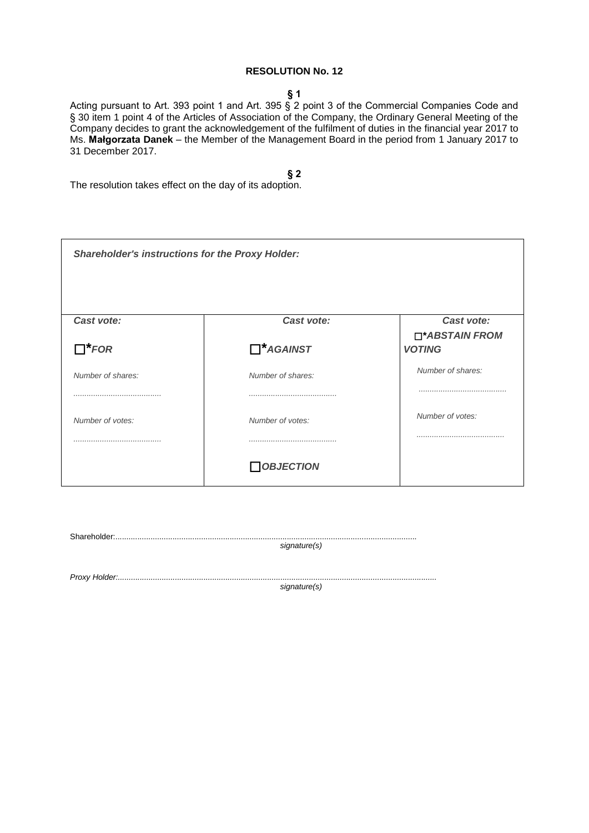### **§ 1**

Acting pursuant to Art. 393 point 1 and Art. 395 § 2 point 3 of the Commercial Companies Code and § 30 item 1 point 4 of the Articles of Association of the Company, the Ordinary General Meeting of the Company decides to grant the acknowledgement of the fulfilment of duties in the financial year 2017 to Ms. **Małgorzata Danek** – the Member of the Management Board in the period from 1 January 2017 to 31 December 2017.

### **§ 2**

The resolution takes effect on the day of its adoption.

| <b>Shareholder's instructions for the Proxy Holder:</b> |                   |                              |
|---------------------------------------------------------|-------------------|------------------------------|
| Cast vote:                                              | Cast vote:        | Cast vote:<br>□*ABSTAIN FROM |
| $\Box^*$ FOR                                            | $\Box^*$ AGAINST  | <b>VOTING</b>                |
| Number of shares:                                       | Number of shares: | Number of shares:            |
|                                                         |                   |                              |
| Number of votes:                                        | Number of votes:  | Number of votes:             |
|                                                         |                   |                              |
|                                                         | <b>OBJECTION</b>  |                              |

| .Shareholder |              |
|--------------|--------------|
|              | signature(s) |
|              |              |
|              |              |

*Proxy Holder:.................................................................................................................................................*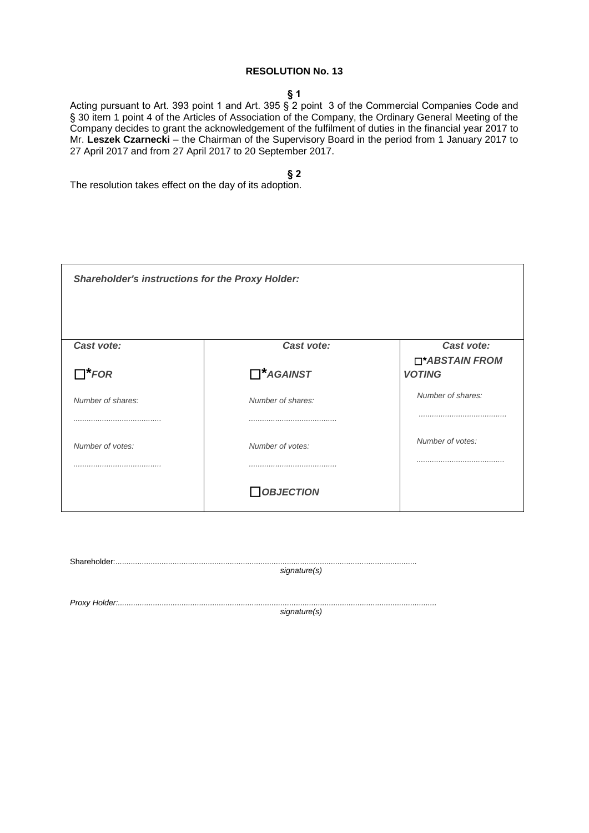#### **§ 1**

Acting pursuant to Art. 393 point 1 and Art. 395 § 2 point 3 of the Commercial Companies Code and § 30 item 1 point 4 of the Articles of Association of the Company, the Ordinary General Meeting of the Company decides to grant the acknowledgement of the fulfilment of duties in the financial year 2017 to Mr. **Leszek Czarnecki** – the Chairman of the Supervisory Board in the period from 1 January 2017 to 27 April 2017 and from 27 April 2017 to 20 September 2017.

**§ 2**

| <b>Shareholder's instructions for the Proxy Holder:</b> |                   |                                 |
|---------------------------------------------------------|-------------------|---------------------------------|
| Cast vote:                                              | Cast vote:        | Cast vote:                      |
| $\Box^*$ FOR                                            | $\Box^*$ AGAINST  | □*ABSTAIN FROM<br><b>VOTING</b> |
| Number of shares:                                       | Number of shares: | Number of shares:               |
|                                                         |                   |                                 |
| Number of votes:                                        | Number of votes:  | Number of votes:                |
|                                                         |                   |                                 |
|                                                         | <b>OBJECTION</b>  |                                 |

| signature(s) |
|--------------|
|              |
| signature(s) |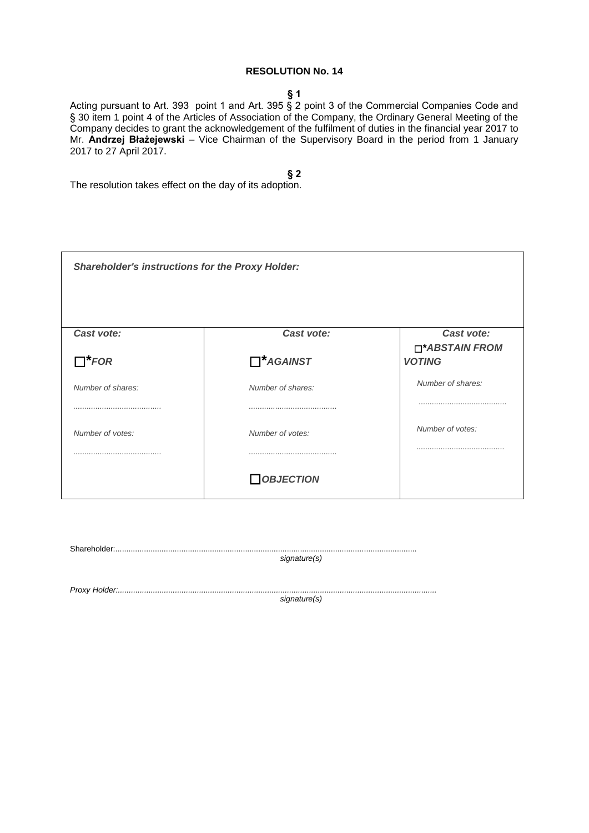#### **§ 1**

Acting pursuant to Art. 393 point 1 and Art. 395 § 2 point 3 of the Commercial Companies Code and § 30 item 1 point 4 of the Articles of Association of the Company, the Ordinary General Meeting of the Company decides to grant the acknowledgement of the fulfilment of duties in the financial year 2017 to Mr. **Andrzej Błażejewski** – Vice Chairman of the Supervisory Board in the period from 1 January 2017 to 27 April 2017.

## **§ 2**

The resolution takes effect on the day of its adoption.

| <b>Shareholder's instructions for the Proxy Holder:</b> |                   |                              |
|---------------------------------------------------------|-------------------|------------------------------|
| Cast vote:                                              | Cast vote:        | Cast vote:<br>□*ABSTAIN FROM |
| $\Box^*$ FOR                                            | $\prod^*$ AGAINST | <b>VOTING</b>                |
| Number of shares:                                       | Number of shares: | Number of shares:            |
|                                                         |                   |                              |
| Number of votes:                                        | Number of votes:  | Number of votes:             |
|                                                         |                   |                              |
|                                                         | <b>OBJECTION</b>  |                              |

| signature(s) |  |
|--------------|--|
|              |  |
|              |  |

*Proxy Holder:.................................................................................................................................................*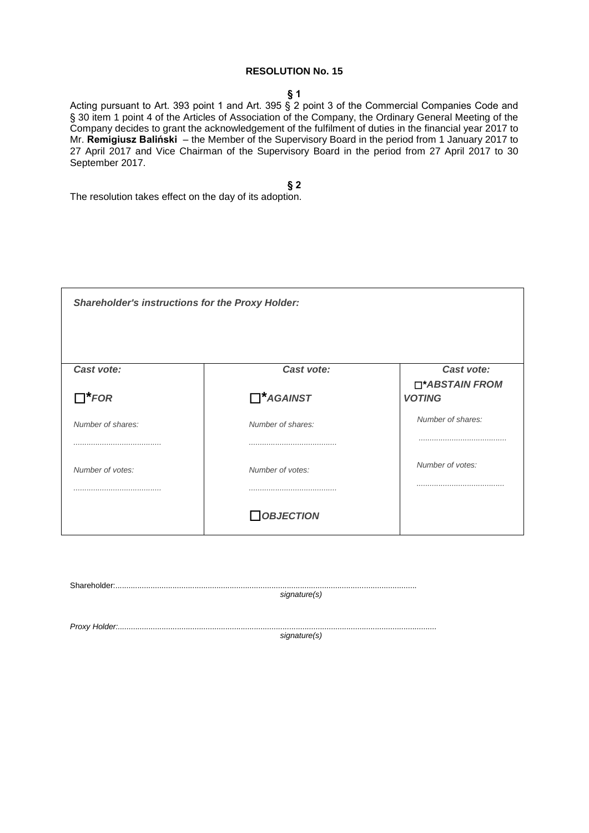### **§ 1**

Acting pursuant to Art. 393 point 1 and Art. 395 § 2 point 3 of the Commercial Companies Code and § 30 item 1 point 4 of the Articles of Association of the Company, the Ordinary General Meeting of the Company decides to grant the acknowledgement of the fulfilment of duties in the financial year 2017 to Mr. **Remigiusz Baliński** – the Member of the Supervisory Board in the period from 1 January 2017 to 27 April 2017 and Vice Chairman of the Supervisory Board in the period from 27 April 2017 to 30 September 2017.

**§ 2**

The resolution takes effect on the day of its adoption.

| <b>Shareholder's instructions for the Proxy Holder:</b> |                                |                                               |
|---------------------------------------------------------|--------------------------------|-----------------------------------------------|
| Cast vote:<br>$\Box^*$ FOR                              | Cast vote:<br>$\Box^*$ AGAINST | Cast vote:<br>□*ABSTAIN FROM<br><b>VOTING</b> |
| Number of shares:                                       | Number of shares:              | Number of shares:                             |
| Number of votes:                                        | Number of votes:               | Number of votes:                              |
|                                                         | <b>OBJECTION</b>               |                                               |

| signature(s) |
|--------------|

*Proxy Holder:.................................................................................................................................................*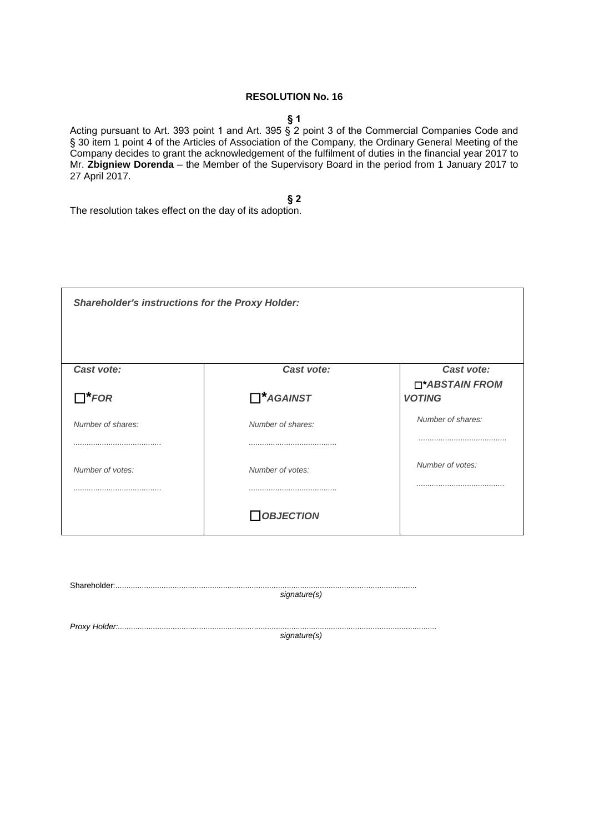#### **§ 1**

Acting pursuant to Art. 393 point 1 and Art. 395 § 2 point 3 of the Commercial Companies Code and § 30 item 1 point 4 of the Articles of Association of the Company, the Ordinary General Meeting of the Company decides to grant the acknowledgement of the fulfilment of duties in the financial year 2017 to Mr. **Zbigniew Dorenda** – the Member of the Supervisory Board in the period from 1 January 2017 to 27 April 2017.

**§ 2**

The resolution takes effect on the day of its adoption.

| <b>Shareholder's instructions for the Proxy Holder:</b> |                   |                              |  |
|---------------------------------------------------------|-------------------|------------------------------|--|
| Cast vote:                                              | Cast vote:        | Cast vote:<br>□*ABSTAIN FROM |  |
| $\Box^*$ FOR                                            | $\Box^*$ AGAINST  | <b>VOTING</b>                |  |
| Number of shares:                                       | Number of shares: | Number of shares:            |  |
| Number of votes:                                        | Number of votes:  | Number of votes:             |  |
|                                                         | <b>OBJECTION</b>  |                              |  |

| signature(s) |
|--------------|

*Proxy Holder:.................................................................................................................................................*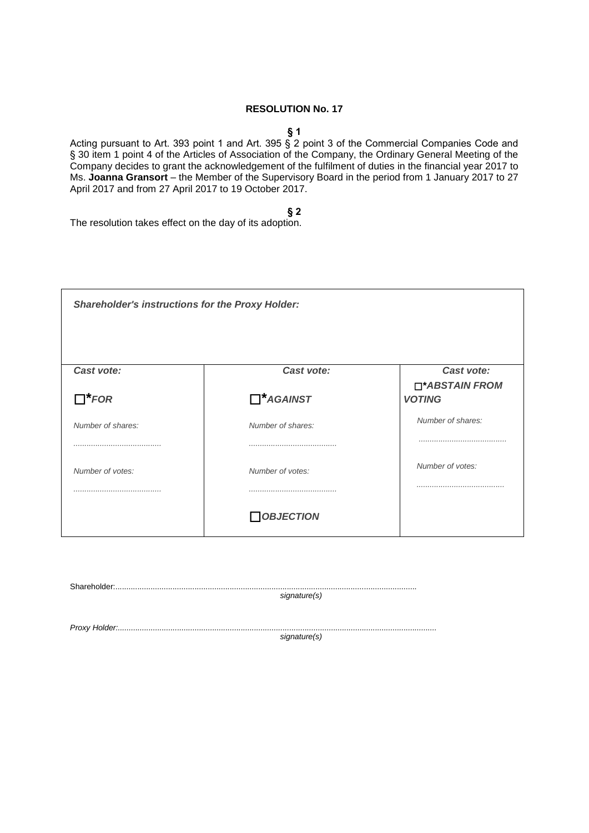## **§ 1**

Acting pursuant to Art. 393 point 1 and Art. 395 § 2 point 3 of the Commercial Companies Code and § 30 item 1 point 4 of the Articles of Association of the Company, the Ordinary General Meeting of the Company decides to grant the acknowledgement of the fulfilment of duties in the financial year 2017 to Ms. **Joanna Gransort** – the Member of the Supervisory Board in the period from 1 January 2017 to 27 April 2017 and from 27 April 2017 to 19 October 2017.

**§ 2**

| <b>Shareholder's instructions for the Proxy Holder:</b> |                   |                                 |
|---------------------------------------------------------|-------------------|---------------------------------|
| Cast vote:                                              | Cast vote:        | Cast vote:                      |
| $\Box^*$ FOR                                            | $\Box^*$ AGAINST  | □*ABSTAIN FROM<br><b>VOTING</b> |
| Number of shares:                                       | Number of shares: | Number of shares:               |
|                                                         |                   |                                 |
| Number of votes:                                        | Number of votes:  | Number of votes:                |
|                                                         |                   |                                 |
|                                                         | <b>OBJECTION</b>  |                                 |

| $\textbf{Shareholder} \textit{.} \textit{} \textit{} \textit{} \textit{} \textit{} \textit{} \textit{} \textit{} \textit{} \textit{} \textit{} \textit{} \textit{} \textit{} \textit{} \textit{} \textit{} \textit{} \textit{} \textit{} \textit{} \textit{} \textit{} \textit{} \textit{} \textit{} \textit{} \textit{} \textit{} \textit{} \textit{} \textit{} \textit{} \textit{} \textit$ |              |
|-----------------------------------------------------------------------------------------------------------------------------------------------------------------------------------------------------------------------------------------------------------------------------------------------------------------------------------------------------------------------------------------------|--------------|
|                                                                                                                                                                                                                                                                                                                                                                                               | signature(s) |
|                                                                                                                                                                                                                                                                                                                                                                                               |              |
|                                                                                                                                                                                                                                                                                                                                                                                               |              |
|                                                                                                                                                                                                                                                                                                                                                                                               | signature(s) |
|                                                                                                                                                                                                                                                                                                                                                                                               |              |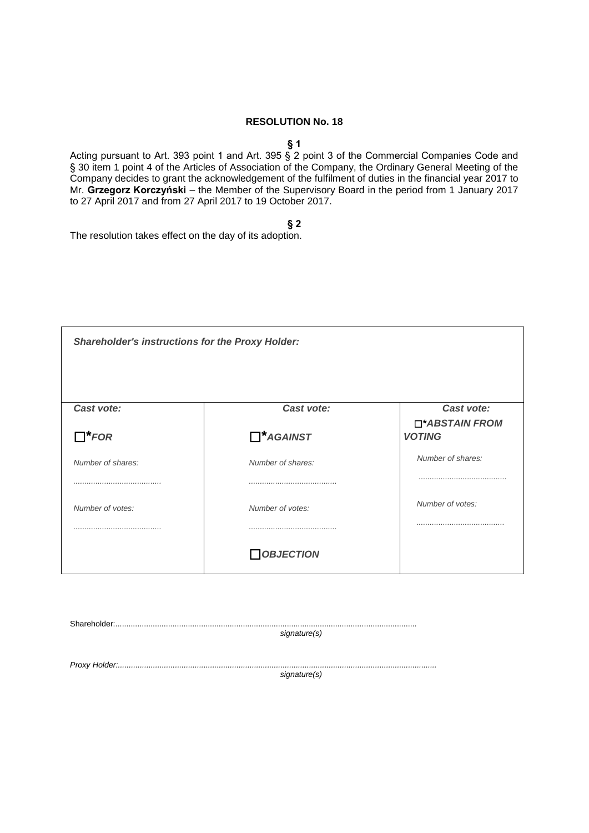#### **§ 1**

Acting pursuant to Art. 393 point 1 and Art. 395 § 2 point 3 of the Commercial Companies Code and § 30 item 1 point 4 of the Articles of Association of the Company, the Ordinary General Meeting of the Company decides to grant the acknowledgement of the fulfilment of duties in the financial year 2017 to Mr. **Grzegorz Korczyński** – the Member of the Supervisory Board in the period from 1 January 2017 to 27 April 2017 and from 27 April 2017 to 19 October 2017.

**§ 2**

The resolution takes effect on the day of its adoption.

| <b>Shareholder's instructions for the Proxy Holder:</b> |                   |                                 |
|---------------------------------------------------------|-------------------|---------------------------------|
| Cast vote:                                              | Cast vote:        | Cast vote:                      |
| $\Box^*$ FOR                                            | $\Box^*$ AGAINST  | □*ABSTAIN FROM<br><b>VOTING</b> |
| Number of shares:                                       | Number of shares: | Number of shares:               |
|                                                         |                   |                                 |
| Number of votes:                                        | Number of votes:  | Number of votes:                |
|                                                         |                   |                                 |
|                                                         | <b>OBJECTION</b>  |                                 |

Shareholder:......................................................................................................................................... *signature(s) Proxy Holder:................................................................................................................................................. signature(s)*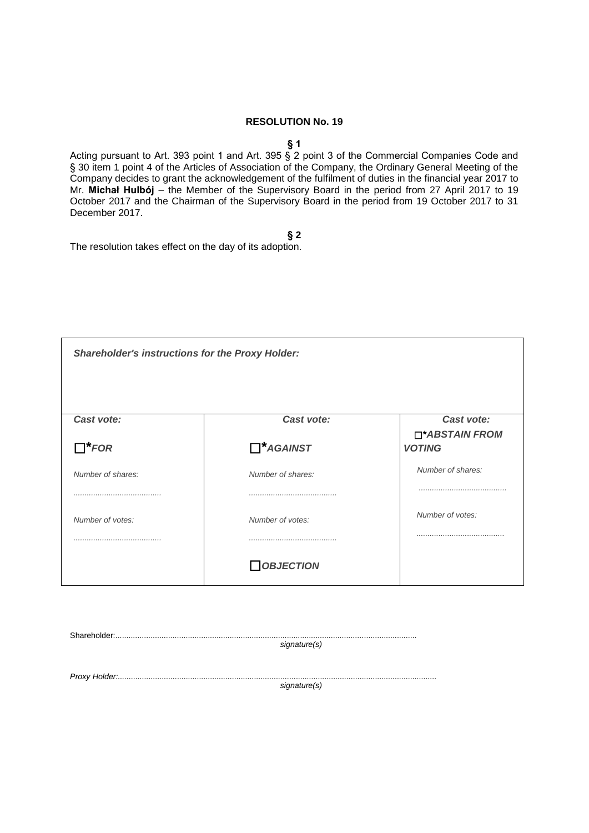#### **§ 1**

Acting pursuant to Art. 393 point 1 and Art. 395 § 2 point 3 of the Commercial Companies Code and § 30 item 1 point 4 of the Articles of Association of the Company, the Ordinary General Meeting of the Company decides to grant the acknowledgement of the fulfilment of duties in the financial year 2017 to Mr. **Michał Hulbój** – the Member of the Supervisory Board in the period from 27 April 2017 to 19 October 2017 and the Chairman of the Supervisory Board in the period from 19 October 2017 to 31 December 2017.

**§ 2**

| <b>Shareholder's instructions for the Proxy Holder:</b> |                   |                                 |
|---------------------------------------------------------|-------------------|---------------------------------|
|                                                         |                   |                                 |
| Cast vote:                                              | Cast vote:        | Cast vote:                      |
| $\Box^*$ FOR                                            | $\Box^*$ AGAINST  | □*ABSTAIN FROM<br><b>VOTING</b> |
| Number of shares:                                       | Number of shares: | Number of shares:               |
|                                                         |                   |                                 |
| Number of votes:                                        | Number of votes:  | Number of votes:                |
|                                                         |                   |                                 |
|                                                         | <b>OBJECTION</b>  |                                 |

| signature(s) |
|--------------|
|              |
|              |
|              |
| signature(s) |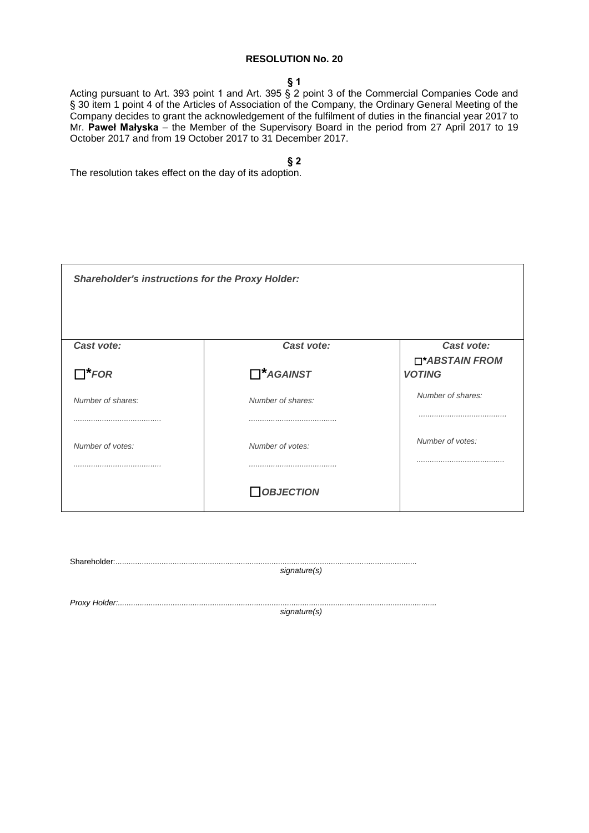#### **§ 1**

Acting pursuant to Art. 393 point 1 and Art. 395 § 2 point 3 of the Commercial Companies Code and § 30 item 1 point 4 of the Articles of Association of the Company, the Ordinary General Meeting of the Company decides to grant the acknowledgement of the fulfilment of duties in the financial year 2017 to Mr. **Paweł Małyska** – the Member of the Supervisory Board in the period from 27 April 2017 to 19 October 2017 and from 19 October 2017 to 31 December 2017.

**§ 2**

| <b>Shareholder's instructions for the Proxy Holder:</b> |                   |                                 |
|---------------------------------------------------------|-------------------|---------------------------------|
| Cast vote:                                              | Cast vote:        | Cast vote:                      |
| $\Box^*$ FOR                                            | $\Box^*$ AGAINST  | □*ABSTAIN FROM<br><b>VOTING</b> |
| Number of shares:                                       | Number of shares: | Number of shares:               |
|                                                         |                   |                                 |
| Number of votes:                                        | Number of votes:  | Number of votes:                |
|                                                         |                   |                                 |
|                                                         | <b>OBJECTION</b>  |                                 |

| ${\bf Shareholder.}.\hspace*{1.5cm}.\hspace*{1.5cm}.\hspace*{1.5cm}.\hspace*{1.5cm}.\hspace*{1.5cm}.\hspace*{1.5cm}.\hspace*{1.5cm}.\hspace*{1.5cm}.\hspace*{1.5cm}.\hspace*{1.5cm}.\hspace*{1.5cm}.\hspace*{1.5cm}.\hspace*{1.5cm}.\hspace*{1.5cm}.\hspace*{1.5cm}.\hspace*{1.5cm}.\hspace*{1.5cm}.\hspace*{1.5cm}.\hspace*{1.5cm}.\hspace*{1.5cm}.\hspace*{1.5cm}.\hspace$ |              |
|------------------------------------------------------------------------------------------------------------------------------------------------------------------------------------------------------------------------------------------------------------------------------------------------------------------------------------------------------------------------------|--------------|
|                                                                                                                                                                                                                                                                                                                                                                              | signature(s) |
|                                                                                                                                                                                                                                                                                                                                                                              |              |
|                                                                                                                                                                                                                                                                                                                                                                              |              |
|                                                                                                                                                                                                                                                                                                                                                                              | signature(s) |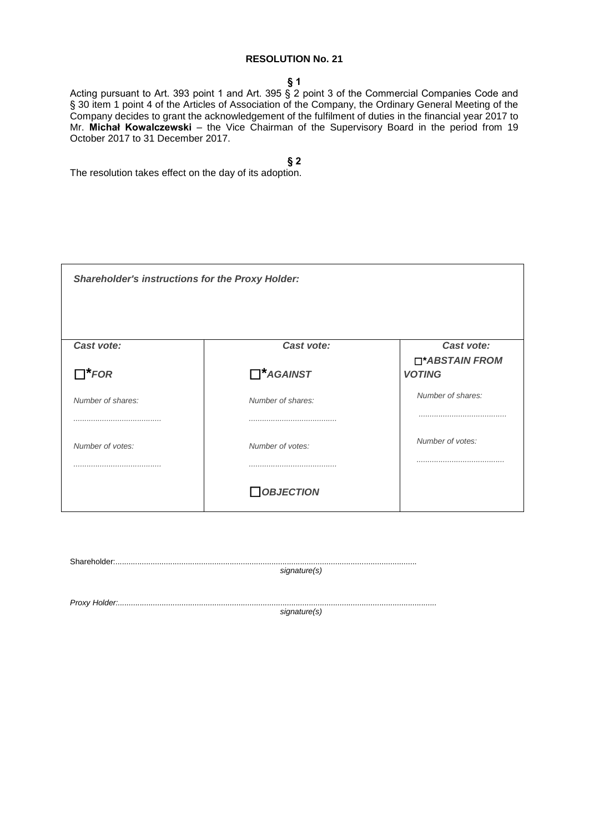#### **§ 1**

Acting pursuant to Art. 393 point 1 and Art. 395 § 2 point 3 of the Commercial Companies Code and § 30 item 1 point 4 of the Articles of Association of the Company, the Ordinary General Meeting of the Company decides to grant the acknowledgement of the fulfilment of duties in the financial year 2017 to Mr. **Michał Kowalczewski** – the Vice Chairman of the Supervisory Board in the period from 19 October 2017 to 31 December 2017.

**§ 2**

| <b>Shareholder's instructions for the Proxy Holder:</b> |                   |                                 |
|---------------------------------------------------------|-------------------|---------------------------------|
| Cast vote:                                              | Cast vote:        | Cast vote:                      |
| $\Box^*$ FOR                                            | $\Box^*$ AGAINST  | □*ABSTAIN FROM<br><b>VOTING</b> |
| Number of shares:                                       | Number of shares: | Number of shares:               |
|                                                         |                   |                                 |
| Number of votes:                                        | Number of votes:  | Number of votes:                |
|                                                         |                   |                                 |
|                                                         | <b>OBJECTION</b>  |                                 |

| signature(s) |
|--------------|
| signature(s) |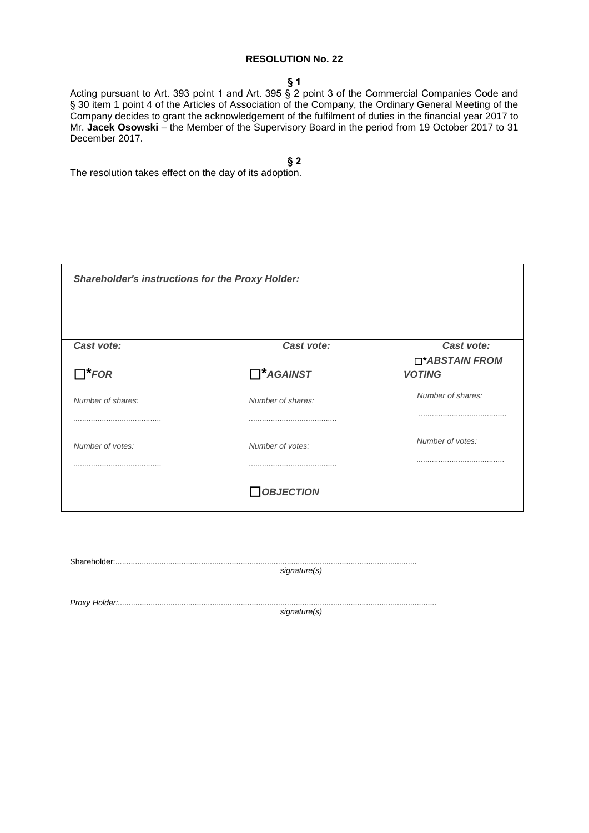**§ 1**

Acting pursuant to Art. 393 point 1 and Art. 395 § 2 point 3 of the Commercial Companies Code and § 30 item 1 point 4 of the Articles of Association of the Company, the Ordinary General Meeting of the Company decides to grant the acknowledgement of the fulfilment of duties in the financial year 2017 to Mr. **Jacek Osowski** – the Member of the Supervisory Board in the period from 19 October 2017 to 31 December 2017.

**§ 2**

| <b>Shareholder's instructions for the Proxy Holder:</b> |                   |                                 |
|---------------------------------------------------------|-------------------|---------------------------------|
| Cast vote:                                              | Cast vote:        | Cast vote:                      |
| $\Box^*$ FOR                                            | $\Box^*$ AGAINST  | □*ABSTAIN FROM<br><b>VOTING</b> |
| Number of shares:                                       | Number of shares: | Number of shares:               |
|                                                         |                   |                                 |
| Number of votes:                                        | Number of votes:  | Number of votes:                |
|                                                         |                   |                                 |
|                                                         | <b>OBJECTION</b>  |                                 |

| signature(s) |
|--------------|
|              |
|              |
| signature(s) |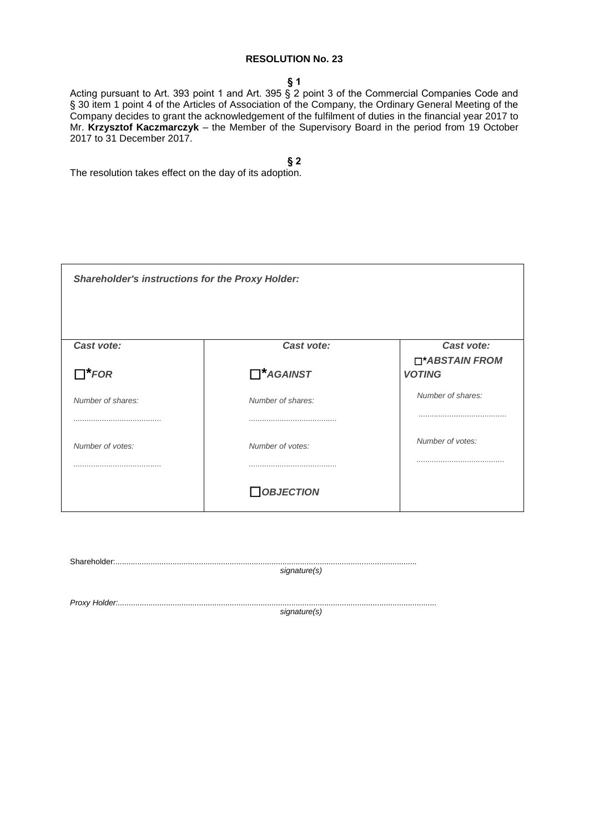**§ 1**

Acting pursuant to Art. 393 point 1 and Art. 395 § 2 point 3 of the Commercial Companies Code and § 30 item 1 point 4 of the Articles of Association of the Company, the Ordinary General Meeting of the Company decides to grant the acknowledgement of the fulfilment of duties in the financial year 2017 to Mr. **Krzysztof Kaczmarczyk** – the Member of the Supervisory Board in the period from 19 October 2017 to 31 December 2017.

**§ 2**

| <b>Shareholder's instructions for the Proxy Holder:</b> |                   |                                 |
|---------------------------------------------------------|-------------------|---------------------------------|
| Cast vote:                                              | Cast vote:        | Cast vote:                      |
| $\Box^*$ FOR                                            | $\Box^*$ AGAINST  | □*ABSTAIN FROM<br><b>VOTING</b> |
| Number of shares:                                       | Number of shares: | Number of shares:               |
|                                                         |                   |                                 |
| Number of votes:                                        | Number of votes:  | Number of votes:                |
|                                                         |                   |                                 |
|                                                         | <b>OBJECTION</b>  |                                 |

| signature(s) |
|--------------|
| signature(s) |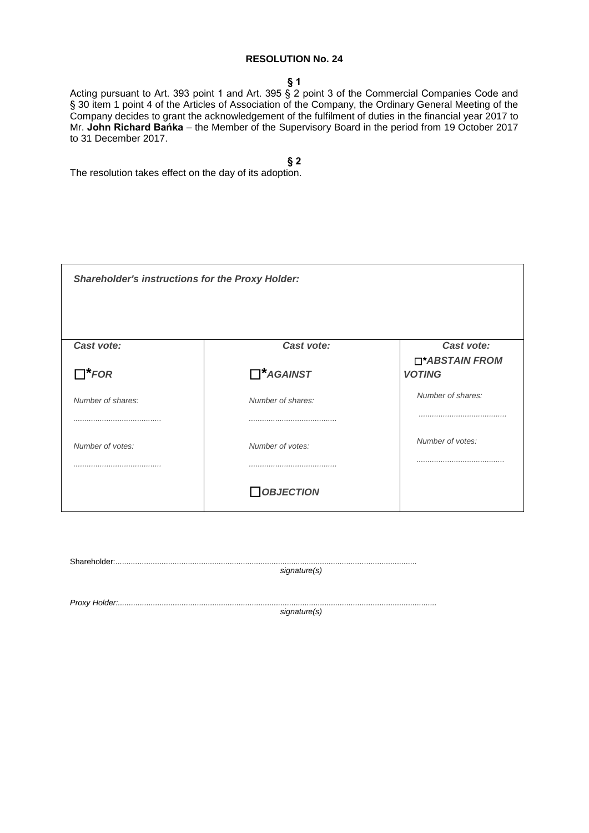**§ 1**

Acting pursuant to Art. 393 point 1 and Art. 395 § 2 point 3 of the Commercial Companies Code and § 30 item 1 point 4 of the Articles of Association of the Company, the Ordinary General Meeting of the Company decides to grant the acknowledgement of the fulfilment of duties in the financial year 2017 to Mr. **John Richard Bańka** – the Member of the Supervisory Board in the period from 19 October 2017 to 31 December 2017.

**§ 2**

| <b>Shareholder's instructions for the Proxy Holder:</b> |                   |                                 |
|---------------------------------------------------------|-------------------|---------------------------------|
| Cast vote:                                              | Cast vote:        | Cast vote:                      |
| $\Box^*$ FOR                                            | $\Box^*$ AGAINST  | □*ABSTAIN FROM<br><b>VOTING</b> |
| Number of shares:                                       | Number of shares: | Number of shares:               |
|                                                         |                   |                                 |
| Number of votes:                                        | Number of votes:  | Number of votes:                |
|                                                         |                   |                                 |
|                                                         | <b>OBJECTION</b>  |                                 |

| signature(s) |
|--------------|
|              |
|              |
| signature(s) |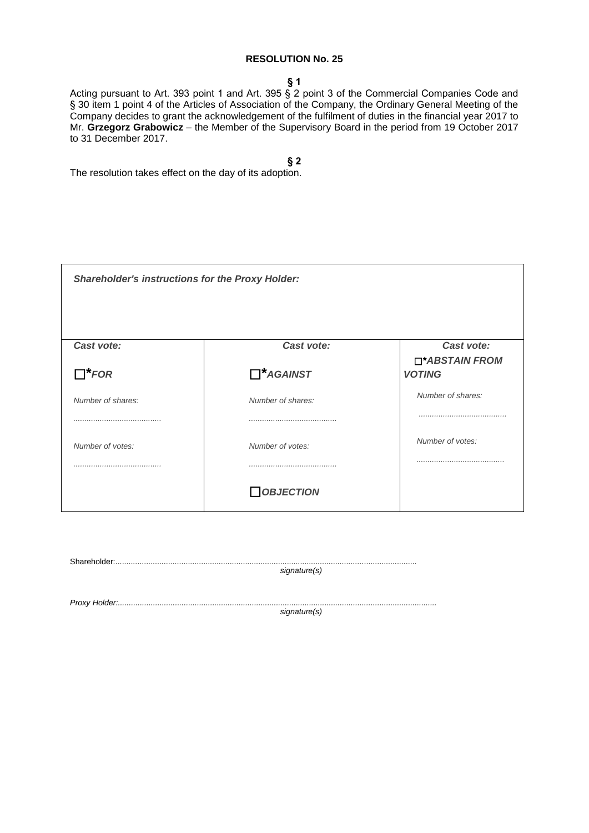**§ 1**

Acting pursuant to Art. 393 point 1 and Art. 395 § 2 point 3 of the Commercial Companies Code and § 30 item 1 point 4 of the Articles of Association of the Company, the Ordinary General Meeting of the Company decides to grant the acknowledgement of the fulfilment of duties in the financial year 2017 to Mr. **Grzegorz Grabowicz** – the Member of the Supervisory Board in the period from 19 October 2017 to 31 December 2017.

**§ 2**

| <b>Shareholder's instructions for the Proxy Holder:</b> |                   |                                 |
|---------------------------------------------------------|-------------------|---------------------------------|
| Cast vote:                                              | Cast vote:        | Cast vote:                      |
| $\Box^*$ FOR                                            | $\Box^*$ AGAINST  | □*ABSTAIN FROM<br><b>VOTING</b> |
| Number of shares:                                       | Number of shares: | Number of shares:               |
|                                                         |                   |                                 |
| Number of votes:                                        | Number of votes:  | Number of votes:                |
|                                                         |                   |                                 |
|                                                         | <b>OBJECTION</b>  |                                 |

| signature(s) |
|--------------|
|              |
|              |
| signature(s) |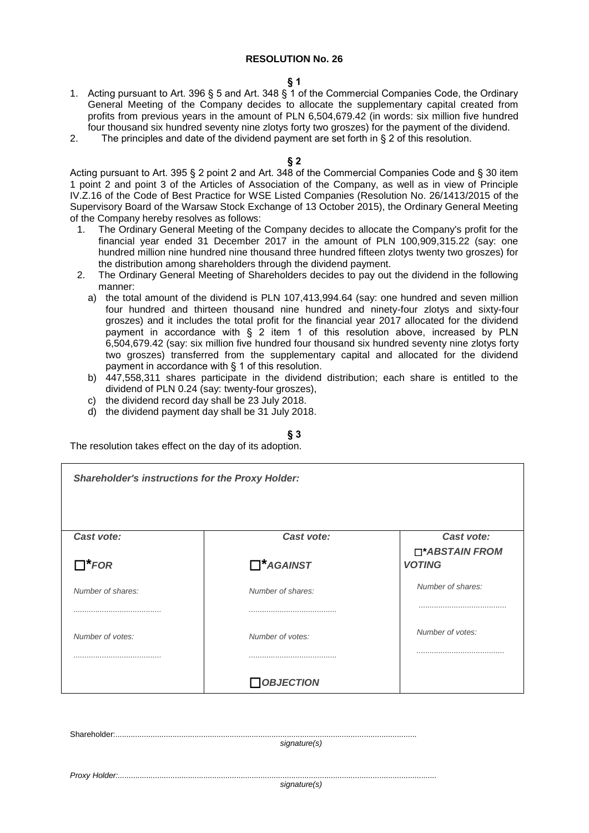### **§ 1**

- 1. Acting pursuant to Art. 396 § 5 and Art. 348 § 1 of the Commercial Companies Code, the Ordinary General Meeting of the Company decides to allocate the supplementary capital created from profits from previous years in the amount of PLN 6,504,679.42 (in words: six million five hundred four thousand six hundred seventy nine zlotys forty two groszes) for the payment of the dividend.
- 2. The principles and date of the dividend payment are set forth in § 2 of this resolution.

### **§ 2**

Acting pursuant to Art. 395 § 2 point 2 and Art. 348 of the Commercial Companies Code and § 30 item 1 point 2 and point 3 of the Articles of Association of the Company, as well as in view of Principle IV.Z.16 of the Code of Best Practice for WSE Listed Companies (Resolution No. 26/1413/2015 of the Supervisory Board of the Warsaw Stock Exchange of 13 October 2015), the Ordinary General Meeting of the Company hereby resolves as follows:

- 1. The Ordinary General Meeting of the Company decides to allocate the Company's profit for the financial year ended 31 December 2017 in the amount of PLN 100,909,315.22 (say: one hundred million nine hundred nine thousand three hundred fifteen zlotys twenty two groszes) for the distribution among shareholders through the dividend payment.
- 2. The Ordinary General Meeting of Shareholders decides to pay out the dividend in the following manner:
	- a) the total amount of the dividend is PLN 107,413,994.64 (say: one hundred and seven million four hundred and thirteen thousand nine hundred and ninety-four zlotys and sixty-four groszes) and it includes the total profit for the financial year 2017 allocated for the dividend payment in accordance with § 2 item 1 of this resolution above, increased by PLN 6,504,679.42 (say: six million five hundred four thousand six hundred seventy nine zlotys forty two groszes) transferred from the supplementary capital and allocated for the dividend payment in accordance with § 1 of this resolution.
	- b) 447,558,311 shares participate in the dividend distribution; each share is entitled to the dividend of PLN 0.24 (say: twenty-four groszes),
	- c) the dividend record day shall be 23 July 2018.
	- d) the dividend payment day shall be 31 July 2018.

### **§ 3**

The resolution takes effect on the day of its adoption.

Shareholder:.........................................................................................................................................

| <b>Shareholder's instructions for the Proxy Holder:</b> |                   |                                 |
|---------------------------------------------------------|-------------------|---------------------------------|
|                                                         |                   |                                 |
| Cast vote:                                              | Cast vote:        | Cast vote:                      |
| $\Box^*$ FOR                                            | $\Box^*$ AGAINST  | □*ABSTAIN FROM<br><b>VOTING</b> |
| Number of shares:                                       | Number of shares: | Number of shares:               |
|                                                         |                   |                                 |
| Number of votes:                                        | Number of votes:  | Number of votes:                |
|                                                         |                   |                                 |
|                                                         | $\Box$ OBJECTION  |                                 |
|                                                         |                   |                                 |

*signature(s) Proxy Holder:................................................................................................................................................. signature(s)*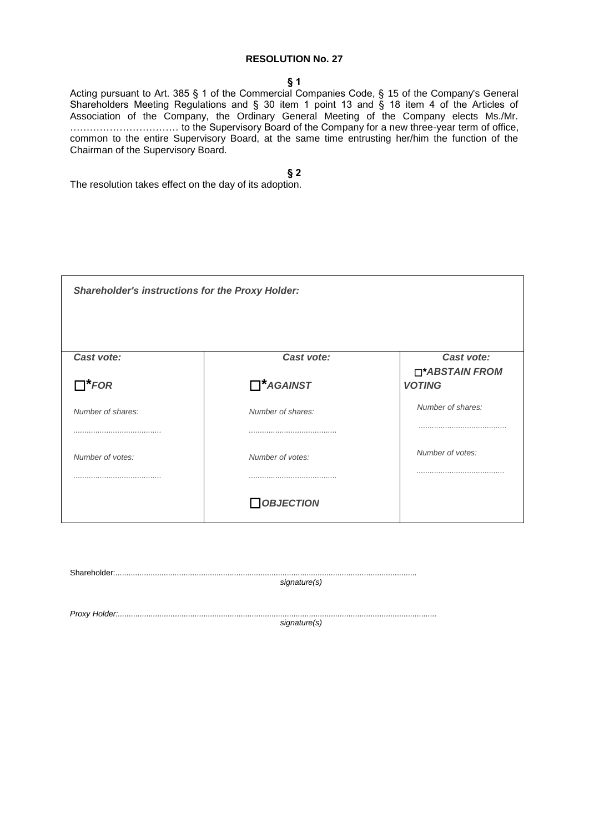### **§ 1**

Acting pursuant to Art. 385 § 1 of the Commercial Companies Code, § 15 of the Company's General Shareholders Meeting Regulations and § 30 item 1 point 13 and § 18 item 4 of the Articles of Association of the Company, the Ordinary General Meeting of the Company elects Ms./Mr. …………………………… to the Supervisory Board of the Company for a new three-year term of office, common to the entire Supervisory Board, at the same time entrusting her/him the function of the Chairman of the Supervisory Board.

**§ 2**

| <b>Shareholder's instructions for the Proxy Holder:</b> |                   |                                 |
|---------------------------------------------------------|-------------------|---------------------------------|
| Cast vote:                                              | Cast vote:        | Cast vote:                      |
| $\Box^*$ FOR                                            | $\Box^*$ AGAINST  | □*ABSTAIN FROM<br><b>VOTING</b> |
| Number of shares:                                       | Number of shares: | Number of shares:               |
|                                                         |                   |                                 |
| Number of votes:                                        | Number of votes:  | Number of votes:                |
|                                                         |                   |                                 |
|                                                         | <b>OBJECTION</b>  |                                 |

| signature(s) |
|--------------|
| signature(s) |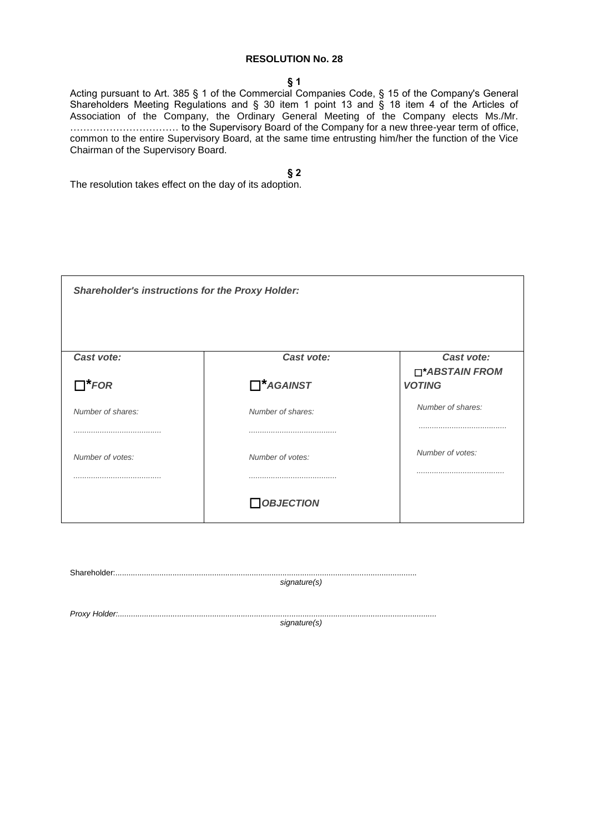### **§ 1**

Acting pursuant to Art. 385 § 1 of the Commercial Companies Code, § 15 of the Company's General Shareholders Meeting Regulations and § 30 item 1 point 13 and § 18 item 4 of the Articles of Association of the Company, the Ordinary General Meeting of the Company elects Ms./Mr. …………………………… to the Supervisory Board of the Company for a new three-year term of office, common to the entire Supervisory Board, at the same time entrusting him/her the function of the Vice Chairman of the Supervisory Board.

**§ 2**

| <b>Shareholder's instructions for the Proxy Holder:</b> |                   |                                 |
|---------------------------------------------------------|-------------------|---------------------------------|
| Cast vote:                                              | Cast vote:        | Cast vote:                      |
| $\Box^*$ FOR                                            | $\Box^*$ AGAINST  | □*ABSTAIN FROM<br><b>VOTING</b> |
| Number of shares:                                       | Number of shares: | Number of shares:               |
|                                                         |                   |                                 |
| Number of votes:                                        | Number of votes:  | Number of votes:                |
|                                                         |                   |                                 |
|                                                         | <b>OBJECTION</b>  |                                 |

| signature(s) |
|--------------|
| signature(s) |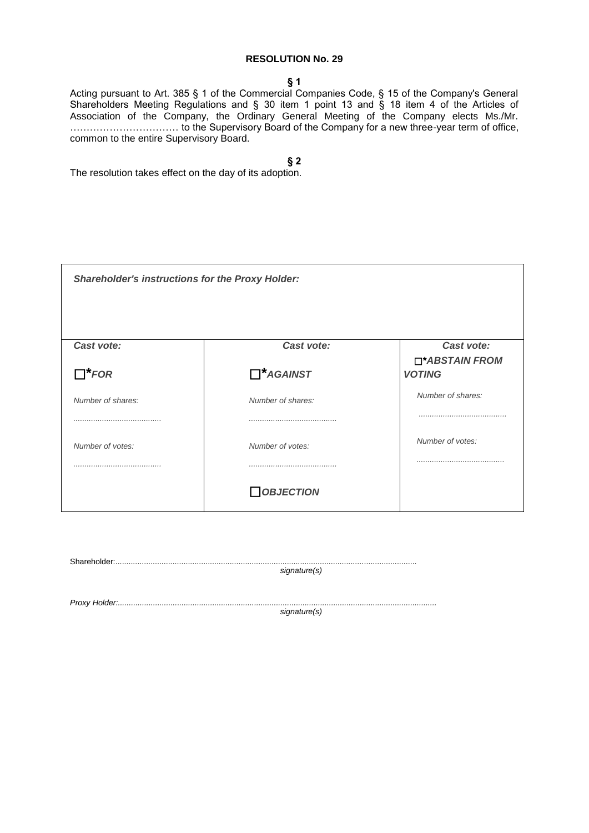**§ 1**

Acting pursuant to Art. 385 § 1 of the Commercial Companies Code, § 15 of the Company's General Shareholders Meeting Regulations and § 30 item 1 point 13 and § 18 item 4 of the Articles of Association of the Company, the Ordinary General Meeting of the Company elects Ms./Mr. …………………………… to the Supervisory Board of the Company for a new three-year term of office, common to the entire Supervisory Board.

**§ 2**

| <b>Shareholder's instructions for the Proxy Holder:</b> |                   |                                 |
|---------------------------------------------------------|-------------------|---------------------------------|
| Cast vote:                                              | Cast vote:        | Cast vote:                      |
| $\Box^*$ FOR                                            | $\Box^*$ AGAINST  | □*ABSTAIN FROM<br><b>VOTING</b> |
| Number of shares:                                       | Number of shares: | Number of shares:               |
|                                                         |                   |                                 |
| Number of votes:                                        | Number of votes:  | Number of votes:                |
|                                                         |                   |                                 |
|                                                         | <b>OBJECTION</b>  |                                 |

| signature(s) |
|--------------|
|              |
|              |
| signature(s) |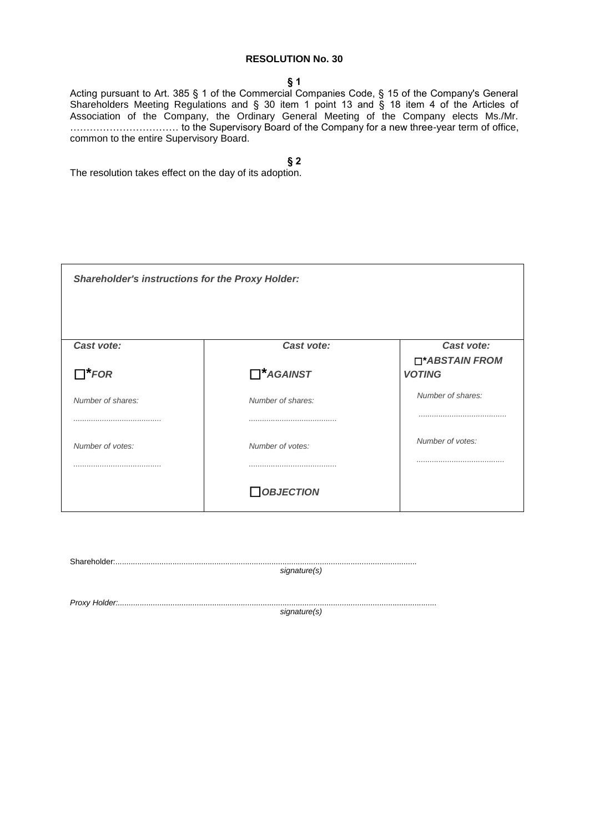**§ 1**

Acting pursuant to Art. 385 § 1 of the Commercial Companies Code, § 15 of the Company's General Shareholders Meeting Regulations and § 30 item 1 point 13 and § 18 item 4 of the Articles of Association of the Company, the Ordinary General Meeting of the Company elects Ms./Mr. …………………………… to the Supervisory Board of the Company for a new three-year term of office, common to the entire Supervisory Board.

**§ 2**

| <b>Shareholder's instructions for the Proxy Holder:</b> |                   |                                 |
|---------------------------------------------------------|-------------------|---------------------------------|
| Cast vote:                                              | Cast vote:        | Cast vote:                      |
| $\Box^*$ FOR                                            | $\Box^*$ AGAINST  | □*ABSTAIN FROM<br><b>VOTING</b> |
| Number of shares:                                       | Number of shares: | Number of shares:               |
|                                                         |                   |                                 |
| Number of votes:                                        | Number of votes:  | Number of votes:                |
|                                                         |                   |                                 |
|                                                         | <b>OBJECTION</b>  |                                 |

|  | signature(s) |  |
|--|--------------|--|
|  |              |  |
|  |              |  |
|  | signature(s) |  |